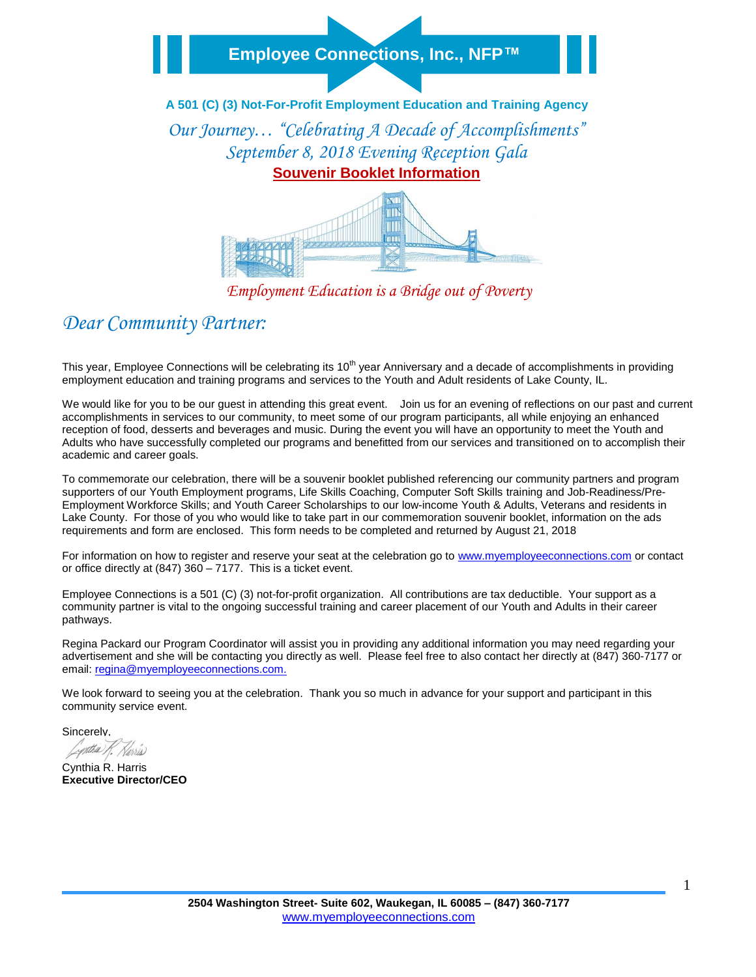**A 501 (C) (3) Not-For-Profit Employment Education and Training Agency**

*Our Journey… "Celebrating A Decade of Accomplishments" September 8, 2018 Evening Reception Gala*  **Souvenir Booklet Information**



*Employment Education is a Bridge out of Poverty*

## *Dear Community Partner:*

This year, Employee Connections will be celebrating its  $10<sup>th</sup>$  year Anniversary and a decade of accomplishments in providing employment education and training programs and services to the Youth and Adult residents of Lake County, IL.

We would like for you to be our guest in attending this great event. Join us for an evening of reflections on our past and current accomplishments in services to our community, to meet some of our program participants, all while enjoying an enhanced reception of food, desserts and beverages and music. During the event you will have an opportunity to meet the Youth and Adults who have successfully completed our programs and benefitted from our services and transitioned on to accomplish their academic and career goals.

To commemorate our celebration, there will be a souvenir booklet published referencing our community partners and program supporters of our Youth Employment programs, Life Skills Coaching, Computer Soft Skills training and Job-Readiness/Pre-Employment Workforce Skills; and Youth Career Scholarships to our low-income Youth & Adults, Veterans and residents in Lake County. For those of you who would like to take part in our commemoration souvenir booklet, information on the ads requirements and form are enclosed. This form needs to be completed and returned by August 21, 2018

For information on how to register and reserve your seat at the celebration go to [www.myemployeeconnections.com](http://www.myemployeeconnections.com/) or contact or office directly at (847) 360 – 7177. This is a ticket event.

Employee Connections is a 501 (C) (3) not-for-profit organization. All contributions are tax deductible. Your support as a community partner is vital to the ongoing successful training and career placement of our Youth and Adults in their career pathways.

Regina Packard our Program Coordinator will assist you in providing any additional information you may need regarding your advertisement and she will be contacting you directly as well. Please feel free to also contact her directly at (847) 360-7177 or email: [regina@myemployeeconnections.com.](mailto:regina@myemployeeconnections.com)

We look forward to seeing you at the celebration. Thank you so much in advance for your support and participant in this community service event.

Sincerely,

intha

Cynthia R. Harris **Executive Director/CEO**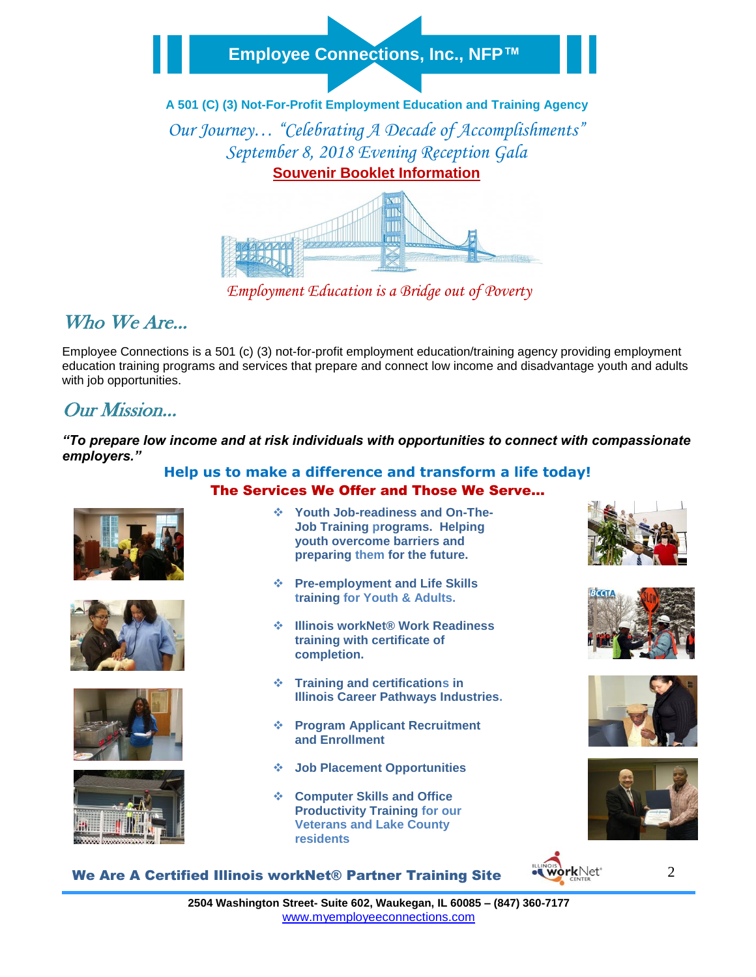**A 501 (C) (3) Not-For-Profit Employment Education and Training Agency**

*Our Journey… "Celebrating A Decade of Accomplishments" September 8, 2018 Evening Reception Gala*  **Souvenir Booklet Information**



*Employment Education is a Bridge out of Poverty*

# Who We Are...

Employee Connections is a 501 (c) (3) not-for-profit employment education/training agency providing employment education training programs and services that prepare and connect low income and disadvantage youth and adults with job opportunities.

# Our Mission…

#### *"To prepare low income and at risk individuals with opportunities to connect with compassionate employers."*

#### **Help us to make a difference and transform a life today!**  The Services We Offer and Those We Serve…









linois<del>i</del> waxaa linaasii waxaa lagu sadan ah dhamaan iyo dhamaan iyo dhamaan iyo dhamaan iyo dhamaan iyo dhamaan<br>Sidoo lagu sadan iyo dhamaan iyo dhamaan iyo dhamaan iyo dhamaan iyo dhamaan iyo dhamaan iyo dhamaan iyo dham

- **Youth Job-readiness and On-The-Job Training programs. Helping youth overcome barriers and preparing them for the future.**
- **Pre-employment and Life Skills training for Youth & Adults.**
- **Illinois workNet® Work Readiness training with certificate of completion.**
- **Training and certifications in Illinois Career Pathways Industries.**
- **Program Applicant Recruitment and Enrollment**
- **Job Placement Opportunities**
- **Computer Skills and Office Productivity Training for our Veterans and Lake County residents**









#### We Are A Certified Illinois workNet® Partner Training Site



2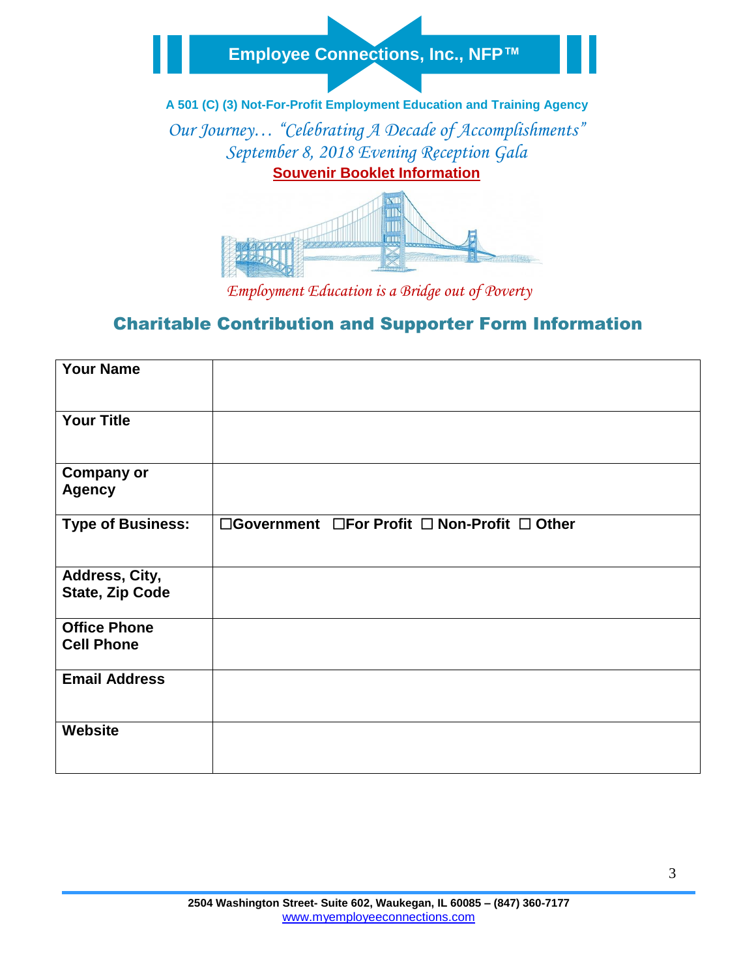**A 501 (C) (3) Not-For-Profit Employment Education and Training Agency**

*Our Journey… "Celebrating A Decade of Accomplishments" September 8, 2018 Evening Reception Gala*  **Souvenir Booklet Information**



*Employment Education is a Bridge out of Poverty*

# Charitable Contribution and Supporter Form Information

| <b>Your Name</b>                         |                                                                    |
|------------------------------------------|--------------------------------------------------------------------|
| <b>Your Title</b>                        |                                                                    |
| <b>Company or</b><br><b>Agency</b>       |                                                                    |
| <b>Type of Business:</b>                 | $\Box$ Government $\Box$ For Profit $\Box$ Non-Profit $\Box$ Other |
| Address, City,<br><b>State, Zip Code</b> |                                                                    |
| <b>Office Phone</b><br><b>Cell Phone</b> |                                                                    |
| <b>Email Address</b>                     |                                                                    |
| <b>Website</b>                           |                                                                    |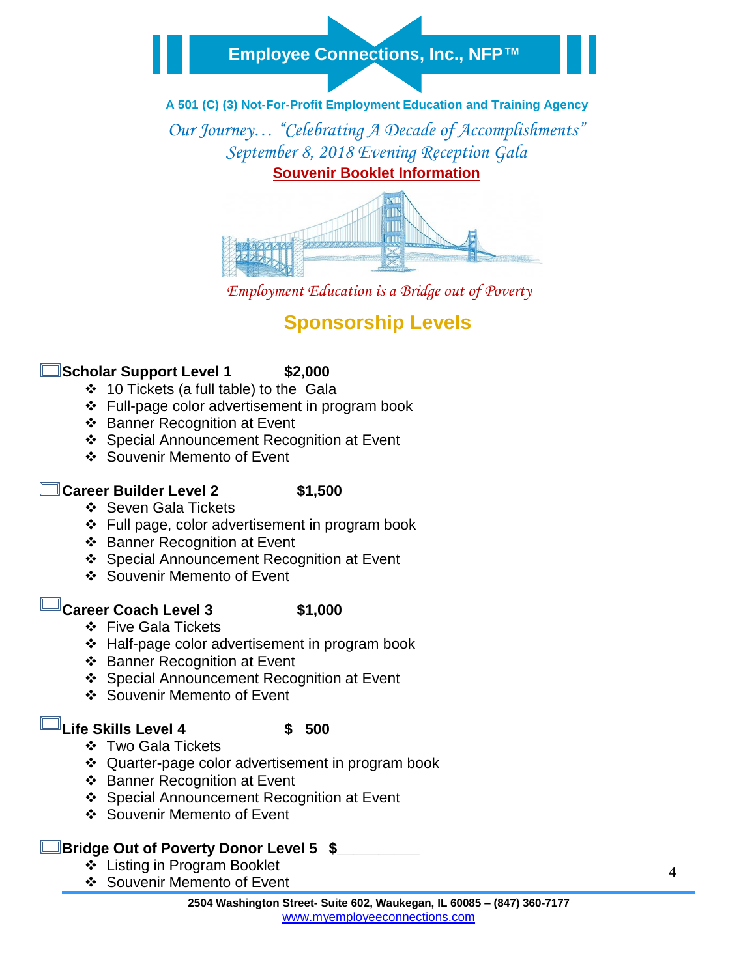**A 501 (C) (3) Not-For-Profit Employment Education and Training Agency**

*Our Journey… "Celebrating A Decade of Accomplishments" September 8, 2018 Evening Reception Gala*  **Souvenir Booklet Information**



*Employment Education is a Bridge out of Poverty*

# **Sponsorship Levels**

#### **Scholar Support Level 1 \$2,000**

- ❖ 10 Tickets (a full table) to the Gala
- Full-page color advertisement in program book
- ❖ Banner Recognition at Event
- ❖ Special Announcement Recognition at Event
- Souvenir Memento of Event

#### **Career Builder Level 2 \$1,500**

- ❖ Seven Gala Tickets
- $\div$  Full page, color advertisement in program book
- ❖ Banner Recognition at Event
- ❖ Special Announcement Recognition at Event
- Souvenir Memento of Event

### **Career Coach Level 3 \$1,000**

- ❖ Five Gala Tickets
- ❖ Half-page color advertisement in program book
- ❖ Banner Recognition at Event
- ❖ Special Announcement Recognition at Event
- Souvenir Memento of Event

### **Life Skills Level 4 \$ 500**

- **❖** Two Gala Tickets
- Quarter-page color advertisement in program book
- ❖ Banner Recognition at Event
- ❖ Special Announcement Recognition at Event
- Souvenir Memento of Event

# **Bridge Out of Poverty Donor Level 5 \$**

- Listing in Program Booklet
- Souvenir Memento of Event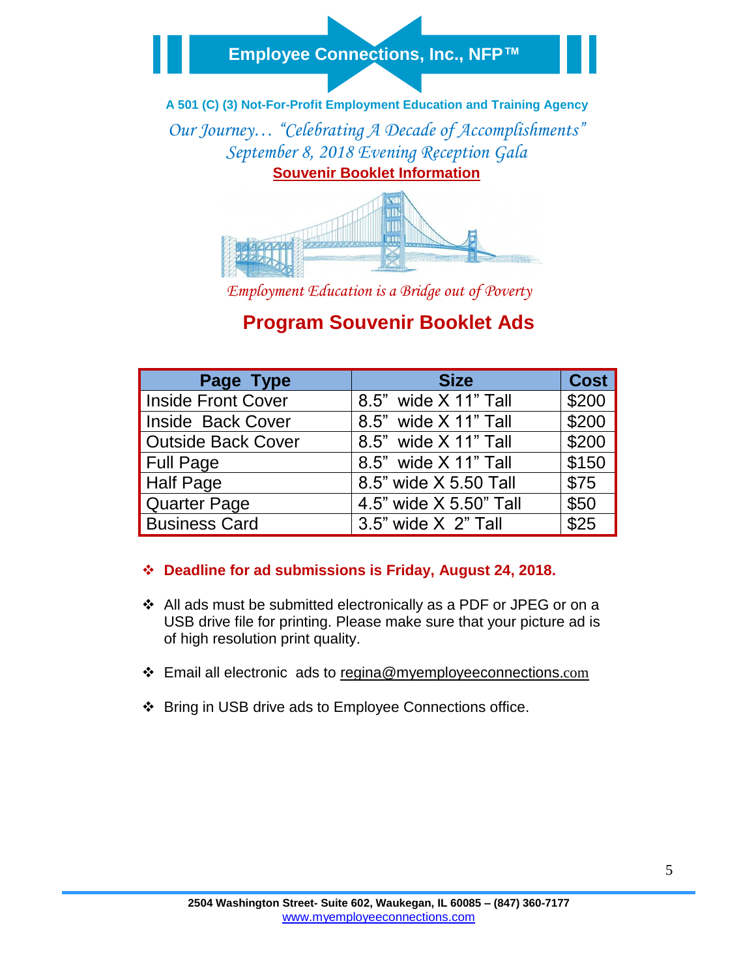**A 501 (C) (3) Not-For-Profit Employment Education and Training Agency**

*Our Journey… "Celebrating A Decade of Accomplishments" September 8, 2018 Evening Reception Gala*  **Souvenir Booklet Information**



*Employment Education is a Bridge out of Poverty*

# **Program Souvenir Booklet Ads**

| Page Type                 | <b>Size</b>            | <b>Cost</b> |
|---------------------------|------------------------|-------------|
| Inside Front Cover        | 8.5" wide X 11" Tall   | \$200       |
| Inside Back Cover         | 8.5" wide X 11" Tall   | \$200       |
| <b>Outside Back Cover</b> | 8.5" wide X 11" Tall   | \$200       |
| Full Page                 | 8.5" wide X 11" Tall   | \$150       |
| Half Page                 | 8.5" wide X 5.50 Tall  | \$75        |
| Quarter Page              | 4.5" wide X 5.50" Tall | \$50        |
| <b>Business Card</b>      | 3.5" wide X 2" Tall    | \$25        |

### **Deadline for ad submissions is Friday, August 24, 2018.**

- All ads must be submitted electronically as a PDF or JPEG or on a USB drive file for printing. Please make sure that your picture ad is of high resolution print quality.
- ❖ Email all electronic ads to [regina@myemployeeconnections](mailto:regina@myemployeeconnections.com).com
- ❖ Bring in USB drive ads to Employee Connections office.